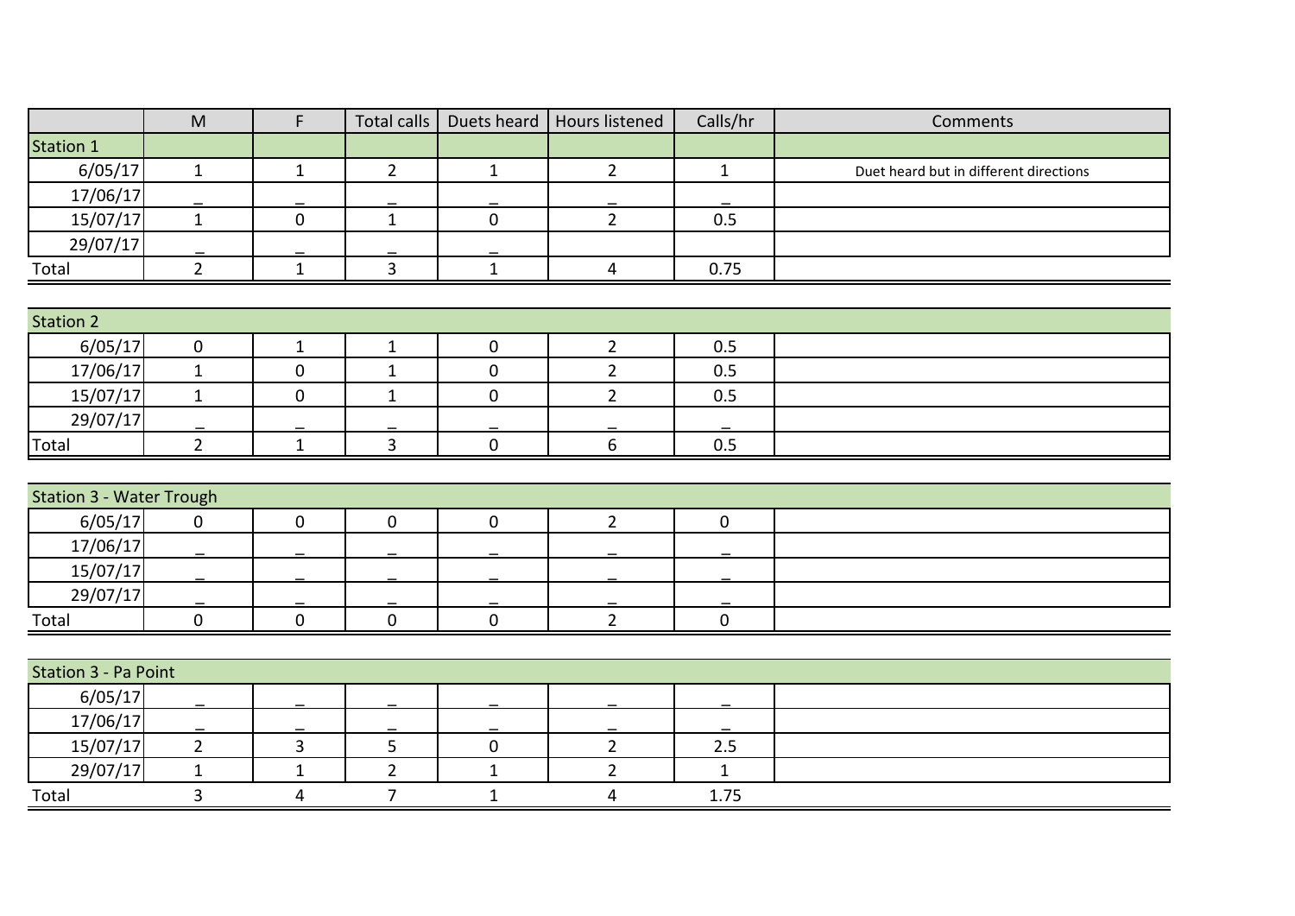|                                 | $\mathsf{M}% _{T}=\mathsf{M}_{T}\!\left( a,b\right) ,\ \mathsf{M}_{T}=\mathsf{M}_{T}\!\left( a,b\right) ,$ | $\mathsf{F}$   | Total calls    |              | Duets heard   Hours listened | Calls/hr     | Comments                               |
|---------------------------------|------------------------------------------------------------------------------------------------------------|----------------|----------------|--------------|------------------------------|--------------|----------------------------------------|
| <b>Station 1</b>                |                                                                                                            |                |                |              |                              |              |                                        |
| 6/05/17                         | $\mathbf{1}$                                                                                               | $\mathbf{1}$   | $2^{\circ}$    | $1\,$        | $2^{\circ}$                  | $\mathbf{1}$ | Duet heard but in different directions |
| 17/06/17                        |                                                                                                            |                |                |              |                              |              |                                        |
| 15/07/17                        | $\mathbf{1}$                                                                                               | $\mathbf 0$    | $\mathbf{1}$   | $\mathbf 0$  | $\overline{2}$               | 0.5          |                                        |
| 29/07/17                        |                                                                                                            |                |                |              |                              |              |                                        |
| Total                           | $\overline{2}$                                                                                             | $\mathbf{1}$   | $\overline{3}$ | $\mathbf 1$  | $\overline{4}$               | 0.75         |                                        |
|                                 |                                                                                                            |                |                |              |                              |              |                                        |
| <b>Station 2</b>                |                                                                                                            |                |                |              |                              |              |                                        |
| 6/05/17                         | $\pmb{0}$                                                                                                  | $\mathbf{1}$   | $\mathbf{1}$   | $\pmb{0}$    | $\overline{2}$               | 0.5          |                                        |
| 17/06/17                        | $\mathbf{1}$                                                                                               | $\mathbf 0$    | $\mathbf{1}$   | $\pmb{0}$    | $\overline{2}$               | 0.5          |                                        |
| 15/07/17                        | $\mathbf{1}$                                                                                               | $\mathbf 0$    | $\mathbf{1}$   | $\mathbf 0$  | $\overline{2}$               | 0.5          |                                        |
| 29/07/17                        |                                                                                                            |                |                |              |                              |              |                                        |
| <b>Total</b>                    | $\overline{2}$                                                                                             | $\mathbf{1}$   | $\overline{3}$ | $\mathbf 0$  | $\boldsymbol{6}$             | $0.5\,$      |                                        |
|                                 |                                                                                                            |                |                |              |                              |              |                                        |
| <b>Station 3 - Water Trough</b> |                                                                                                            |                |                |              |                              |              |                                        |
| 6/05/17                         | $\mathbf 0$                                                                                                | $\mathbf 0$    | $\mathbf 0$    | $\mathbf 0$  | $\overline{2}$               | $\mathbf 0$  |                                        |
| 17/06/17                        |                                                                                                            |                |                |              |                              |              |                                        |
| 15/07/17                        |                                                                                                            |                |                |              |                              |              |                                        |
| 29/07/17                        |                                                                                                            |                |                |              |                              |              |                                        |
| Total                           | $\pmb{0}$                                                                                                  | $\mathbf 0$    | $\mathbf 0$    | $\pmb{0}$    | $2^{\circ}$                  | $\mathbf 0$  |                                        |
|                                 |                                                                                                            |                |                |              |                              |              |                                        |
| Station 3 - Pa Point            |                                                                                                            |                |                |              |                              |              |                                        |
| 6/05/17                         |                                                                                                            |                |                |              |                              |              |                                        |
| 17/06/17                        |                                                                                                            |                |                |              |                              |              |                                        |
| 15/07/17                        | $\overline{2}$                                                                                             | $\overline{3}$ | 5              | $\pmb{0}$    | $\overline{2}$               | $2.5$        |                                        |
| 29/07/17                        | $1\,$                                                                                                      | $\mathbf{1}$   | $\overline{2}$ | $\mathbf{1}$ | $\overline{2}$               | $\mathbf{1}$ |                                        |
| Total                           | $\overline{3}$                                                                                             | 4              | $\overline{7}$ | $\mathbf{1}$ | $\overline{\mathbf{4}}$      | 1.75         |                                        |